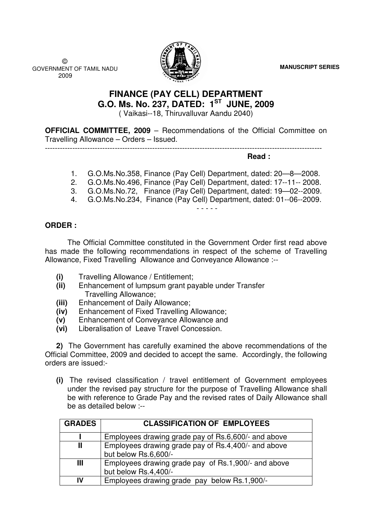**MANUSCRIPT SERIES**

 © GOVERNMENT OF TAMIL NADU 2009



# **FINANCE (PAY CELL) DEPARTMENT G.O. Ms. No. 237, DATED: 1ST JUNE, 2009**

( Vaikasi--18, Thiruvalluvar Aandu 2040)

**OFFICIAL COMMITTEE, 2009 - Recommendations of the Official Committee on** Travelling Allowance – Orders – Issued.

---------------------------------------------------------------------------------------------------------------

**Read :** 

- 1. G.O.Ms.No.358, Finance (Pay Cell) Department, dated: 20—8—2008.
- 2. G.O.Ms.No.496, Finance (Pay Cell) Department, dated: 17--11-- 2008.
- 3. G.O.Ms.No.72, Finance (Pay Cell) Department, dated: 19—02--2009.
- 4. G.O.Ms.No.234, Finance (Pay Cell) Department, dated: 01--06--2009.

- - - - -

## **ORDER :**

 The Official Committee constituted in the Government Order first read above has made the following recommendations in respect of the scheme of Travelling Allowance, Fixed Travelling Allowance and Conveyance Allowance :--

- **(i)** Travelling Allowance / Entitlement;
- **(ii)** Enhancement of lumpsum grant payable under Transfer Travelling Allowance;
- **(iii)** Enhancement of Daily Allowance;
- **(iv)** Enhancement of Fixed Travelling Allowance;
- **(v)** Enhancement of Conveyance Allowance and
- **(vi)** Liberalisation of Leave Travel Concession.

**2)** The Government has carefully examined the above recommendations of the Official Committee, 2009 and decided to accept the same. Accordingly, the following orders are issued:-

**(i)** The revised classification / travel entitlement of Government employees under the revised pay structure for the purpose of Travelling Allowance shall be with reference to Grade Pay and the revised rates of Daily Allowance shall be as detailed below :--

| <b>GRADES</b> | <b>CLASSIFICATION OF EMPLOYEES</b>                                          |
|---------------|-----------------------------------------------------------------------------|
|               | Employees drawing grade pay of Rs.6,600/- and above                         |
| Ш             | Employees drawing grade pay of Rs.4,400/- and above<br>but below Rs.6,600/- |
| Ш             | Employees drawing grade pay of Rs.1,900/- and above<br>but below Rs.4,400/- |
| IV            | Employees drawing grade pay below Rs.1,900/-                                |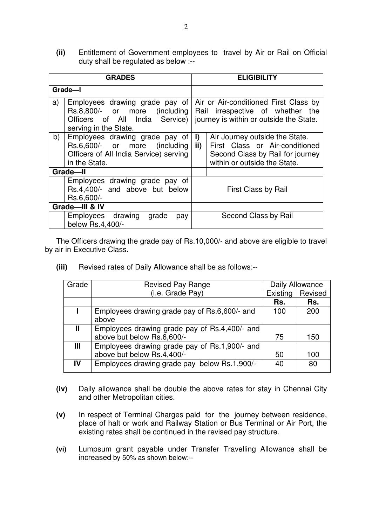**(ii)** Entitlement of Government employees to travel by Air or Rail on Official duty shall be regulated as below :--

| <b>GRADES</b>                                                                              |                                                                                                                               |                                                                                                                      | <b>ELIGIBILITY</b>                                                                                                                   |  |  |
|--------------------------------------------------------------------------------------------|-------------------------------------------------------------------------------------------------------------------------------|----------------------------------------------------------------------------------------------------------------------|--------------------------------------------------------------------------------------------------------------------------------------|--|--|
| Grade-I                                                                                    |                                                                                                                               |                                                                                                                      |                                                                                                                                      |  |  |
| a)                                                                                         | Employees drawing grade pay of<br>Rs.8,800/- or more (including)<br>Officers of All India Service)  <br>serving in the State. | Air or Air-conditioned First Class by<br>Rail irrespective of whether the<br>journey is within or outside the State. |                                                                                                                                      |  |  |
| b)                                                                                         | Employees drawing grade pay of<br>Rs.6,600/- or more (including<br>Officers of All India Service) serving<br>in the State.    | i)<br>ii)                                                                                                            | Air Journey outside the State.<br>First Class or Air-conditioned<br>Second Class by Rail for journey<br>within or outside the State. |  |  |
| Grade-II<br>Employees drawing grade pay of<br>Rs.4,400/- and above but below<br>Rs.6,600/- |                                                                                                                               |                                                                                                                      | First Class by Rail                                                                                                                  |  |  |
| Grade-III & IV                                                                             |                                                                                                                               |                                                                                                                      |                                                                                                                                      |  |  |
|                                                                                            | Employees drawing<br>grade<br>pay<br>below Rs.4,400/-                                                                         |                                                                                                                      | Second Class by Rail                                                                                                                 |  |  |

The Officers drawing the grade pay of Rs.10,000/- and above are eligible to travel by air in Executive Class.

**(iii)** Revised rates of Daily Allowance shall be as follows:--

| Grade | <b>Revised Pay Range</b>                      |          | Daily Allowance |  |
|-------|-----------------------------------------------|----------|-----------------|--|
|       | (i.e. Grade Pay)                              | Existing | Revised         |  |
|       |                                               | Rs.      | Rs.             |  |
|       | Employees drawing grade pay of Rs.6,600/- and | 100      | 200             |  |
|       | above                                         |          |                 |  |
| Ш     | Employees drawing grade pay of Rs.4,400/- and |          |                 |  |
|       | above but below Rs.6,600/-                    | 75       | 150             |  |
| Ш     | Employees drawing grade pay of Rs.1,900/- and |          |                 |  |
|       | above but below Rs.4,400/-                    | 50       | 100             |  |
| IV    | Employees drawing grade pay below Rs.1,900/-  | 40       | 80              |  |
|       |                                               |          |                 |  |

- **(iv)** Daily allowance shall be double the above rates for stay in Chennai City and other Metropolitan cities.
- **(v)** In respect of Terminal Charges paid for the journey between residence, place of halt or work and Railway Station or Bus Terminal or Air Port, the existing rates shall be continued in the revised pay structure.
- **(vi)** Lumpsum grant payable under Transfer Travelling Allowance shall be increased by 50% as shown below:--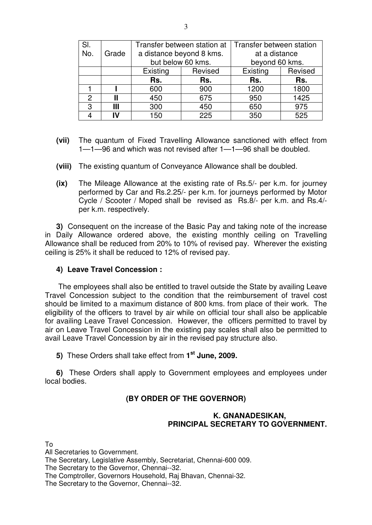| SI.           |       | Transfer between station at<br>a distance beyond 8 kms. |                   | Transfer between station        |         |  |
|---------------|-------|---------------------------------------------------------|-------------------|---------------------------------|---------|--|
| No.           | Grade |                                                         | but below 60 kms. | at a distance<br>beyond 60 kms. |         |  |
|               |       | Existing                                                | Revised           | Existing                        | Revised |  |
|               |       | Rs.                                                     | Rs.               | Rs.                             | Rs.     |  |
|               |       | 600                                                     | 900               | 1200                            | 1800    |  |
| $\mathcal{P}$ |       | 450                                                     | 675               | 950                             | 1425    |  |
| 3             | Ш     | 300                                                     | 450               | 650                             | 975     |  |
|               |       | 150                                                     | 225               | 350                             | 525     |  |

- **(vii)** The quantum of Fixed Travelling Allowance sanctioned with effect from 1—1—96 and which was not revised after 1—1—96 shall be doubled.
- **(viii)** The existing quantum of Conveyance Allowance shall be doubled.
- **(ix)** The Mileage Allowance at the existing rate of Rs.5/- per k.m. for journey performed by Car and Rs.2.25/- per k.m. for journeys performed by Motor Cycle / Scooter / Moped shall be revised as Rs.8/- per k.m. and Rs.4/ per k.m. respectively.

**3)** Consequent on the increase of the Basic Pay and taking note of the increase in Daily Allowance ordered above, the existing monthly ceiling on Travelling Allowance shall be reduced from 20% to 10% of revised pay. Wherever the existing ceiling is 25% it shall be reduced to 12% of revised pay.

### **4) Leave Travel Concession :**

 The employees shall also be entitled to travel outside the State by availing Leave Travel Concession subject to the condition that the reimbursement of travel cost should be limited to a maximum distance of 800 kms. from place of their work. The eligibility of the officers to travel by air while on official tour shall also be applicable for availing Leave Travel Concession. However, the officers permitted to travel by air on Leave Travel Concession in the existing pay scales shall also be permitted to avail Leave Travel Concession by air in the revised pay structure also.

**5)** These Orders shall take effect from **1 st June, 2009.** 

**6)** These Orders shall apply to Government employees and employees under local bodies.

## **(BY ORDER OF THE GOVERNOR)**

## **K. GNANADESIKAN, PRINCIPAL SECRETARY TO GOVERNMENT.**

To

All Secretaries to Government.

The Secretary, Legislative Assembly, Secretariat, Chennai-600 009.

The Secretary to the Governor, Chennai--32.

The Comptroller, Governors Household, Raj Bhavan, Chennai-32.

The Secretary to the Governor, Chennai--32.